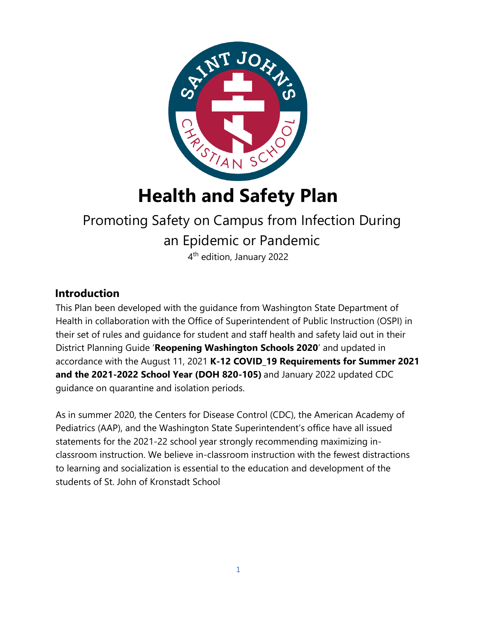

# **Health and Safety Plan**

# Promoting Safety on Campus from Infection During an Epidemic or Pandemic

4<sup>th</sup> edition, January 2022

## **Introduction**

This Plan been developed with the guidance from Washington State Department of Health in collaboration with the Office of Superintendent of Public Instruction (OSPI) in their set of rules and guidance for student and staff health and safety laid out in their District Planning Guide '**Reopening Washington Schools 2020**' and updated in accordance with the August 11, 2021 **K-12 COVID\_19 Requirements for Summer 2021 and the 2021-2022 School Year (DOH 820-105)** and January 2022 updated CDC guidance on quarantine and isolation periods.

As in summer 2020, the Centers for Disease Control (CDC), the American Academy of Pediatrics (AAP), and the Washington State Superintendent's office have all issued statements for the 2021-22 school year strongly recommending maximizing inclassroom instruction. We believe in-classroom instruction with the fewest distractions to learning and socialization is essential to the education and development of the students of St. John of Kronstadt School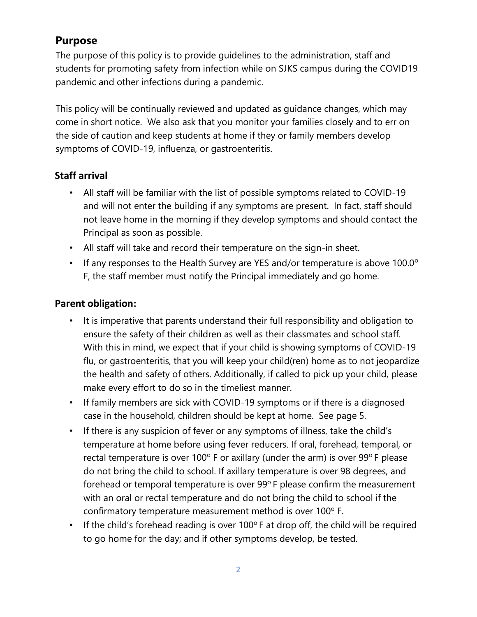## **Purpose**

The purpose of this policy is to provide guidelines to the administration, staff and students for promoting safety from infection while on SJKS campus during the COVID19 pandemic and other infections during a pandemic.

This policy will be continually reviewed and updated as guidance changes, which may come in short notice. We also ask that you monitor your families closely and to err on the side of caution and keep students at home if they or family members develop symptoms of COVID-19, influenza, or gastroenteritis.

## **Staff arrival**

- All staff will be familiar with the list of possible symptoms related to COVID-19 and will not enter the building if any symptoms are present. In fact, staff should not leave home in the morning if they develop symptoms and should contact the Principal as soon as possible.
- All staff will take and record their temperature on the sign-in sheet.
- If any responses to the Health Survey are YES and/or temperature is above 100.0° F, the staff member must notify the Principal immediately and go home.

### **Parent obligation:**

- It is imperative that parents understand their full responsibility and obligation to ensure the safety of their children as well as their classmates and school staff. With this in mind, we expect that if your child is showing symptoms of COVID-19 flu, or gastroenteritis, that you will keep your child(ren) home as to not jeopardize the health and safety of others. Additionally, if called to pick up your child, please make every effort to do so in the timeliest manner.
- If family members are sick with COVID-19 symptoms or if there is a diagnosed case in the household, children should be kept at home. See page 5.
- If there is any suspicion of fever or any symptoms of illness, take the child's temperature at home before using fever reducers. If oral, forehead, temporal, or rectal temperature is over 100 $^{\circ}$  F or axillary (under the arm) is over 99 $^{\circ}$  F please do not bring the child to school. If axillary temperature is over 98 degrees, and forehead or temporal temperature is over 99°F please confirm the measurement with an oral or rectal temperature and do not bring the child to school if the confirmatory temperature measurement method is over 100° F.
- If the child's forehead reading is over 100 $\degree$  F at drop off, the child will be required to go home for the day; and if other symptoms develop, be tested.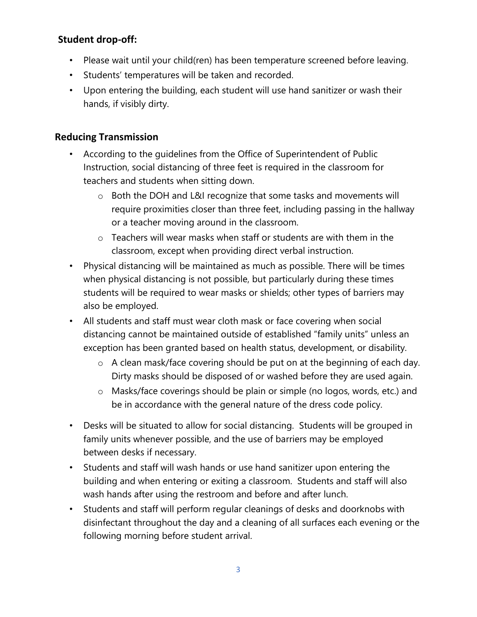## **Student drop-off:**

- Please wait until your child(ren) has been temperature screened before leaving.
- Students' temperatures will be taken and recorded.
- Upon entering the building, each student will use hand sanitizer or wash their hands, if visibly dirty.

#### **Reducing Transmission**

- According to the guidelines from the Office of Superintendent of Public Instruction, social distancing of three feet is required in the classroom for teachers and students when sitting down.
	- o Both the DOH and L&I recognize that some tasks and movements will require proximities closer than three feet, including passing in the hallway or a teacher moving around in the classroom.
	- $\circ$  Teachers will wear masks when staff or students are with them in the classroom, except when providing direct verbal instruction.
- Physical distancing will be maintained as much as possible. There will be times when physical distancing is not possible, but particularly during these times students will be required to wear masks or shields; other types of barriers may also be employed.
- All students and staff must wear cloth mask or face covering when social distancing cannot be maintained outside of established "family units" unless an exception has been granted based on health status, development, or disability.
	- o A clean mask/face covering should be put on at the beginning of each day. Dirty masks should be disposed of or washed before they are used again.
	- o Masks/face coverings should be plain or simple (no logos, words, etc.) and be in accordance with the general nature of the dress code policy.
- Desks will be situated to allow for social distancing. Students will be grouped in family units whenever possible, and the use of barriers may be employed between desks if necessary.
- Students and staff will wash hands or use hand sanitizer upon entering the building and when entering or exiting a classroom. Students and staff will also wash hands after using the restroom and before and after lunch.
- Students and staff will perform regular cleanings of desks and doorknobs with disinfectant throughout the day and a cleaning of all surfaces each evening or the following morning before student arrival.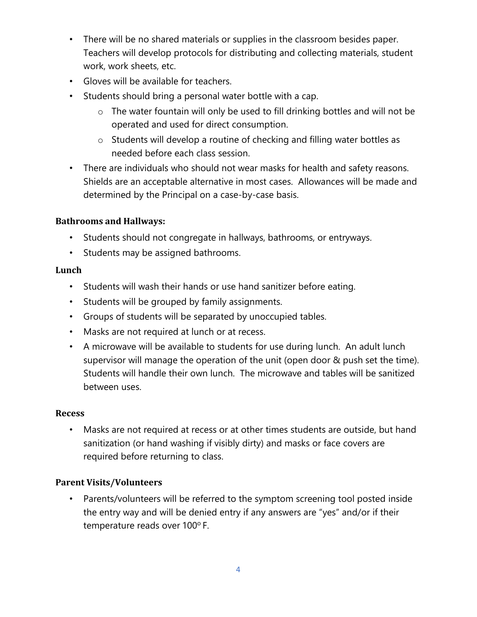- There will be no shared materials or supplies in the classroom besides paper. Teachers will develop protocols for distributing and collecting materials, student work, work sheets, etc.
- Gloves will be available for teachers.
- Students should bring a personal water bottle with a cap.
	- o The water fountain will only be used to fill drinking bottles and will not be operated and used for direct consumption.
	- o Students will develop a routine of checking and filling water bottles as needed before each class session.
- There are individuals who should not wear masks for health and safety reasons. Shields are an acceptable alternative in most cases. Allowances will be made and determined by the Principal on a case-by-case basis.

#### **Bathrooms and Hallways:**

- Students should not congregate in hallways, bathrooms, or entryways.
- Students may be assigned bathrooms.

#### **Lunch**

- Students will wash their hands or use hand sanitizer before eating.
- Students will be grouped by family assignments.
- Groups of students will be separated by unoccupied tables.
- Masks are not required at lunch or at recess.
- A microwave will be available to students for use during lunch. An adult lunch supervisor will manage the operation of the unit (open door & push set the time). Students will handle their own lunch. The microwave and tables will be sanitized between uses.

#### **Recess**

• Masks are not required at recess or at other times students are outside, but hand sanitization (or hand washing if visibly dirty) and masks or face covers are required before returning to class.

#### **Parent Visits/Volunteers**

• Parents/volunteers will be referred to the symptom screening tool posted inside the entry way and will be denied entry if any answers are "yes" and/or if their temperature reads over 100°F.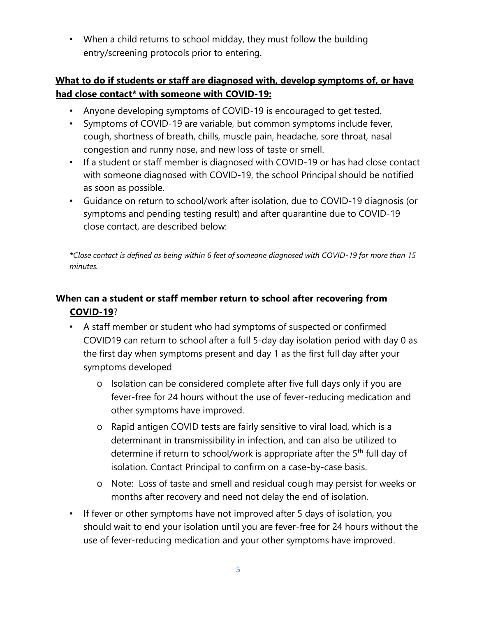• When a child returns to school midday, they must follow the building entry/screening protocols prior to entering.

### **What to do if students or staff are diagnosed with, develop symptoms of, or have had close contact\* with someone with COVID-19:**

- Anyone developing symptoms of COVID-19 is encouraged to get tested.
- Symptoms of COVID-19 are variable, but common symptoms include fever, cough, shortness of breath, chills, muscle pain, headache, sore throat, nasal congestion and runny nose, and new loss of taste or smell.
- If a student or staff member is diagnosed with COVID-19 or has had close contact with someone diagnosed with COVID-19, the school Principal should be notified as soon as possible.
- Guidance on return to school/work after isolation, due to COVID-19 diagnosis (or symptoms and pending testing result) and after quarantine due to COVID-19 close contact, are described below:

*\*Close contact is defined as being within 6 feet of someone diagnosed with COVID-19 for more than 15 minutes.* 

## **When can a student or staff member return to school after recovering from COVID-19**?

- A staff member or student who had symptoms of suspected or confirmed COVID19 can return to school after a full 5-day day isolation period with day 0 as the first day when symptoms present and day 1 as the first full day after your symptoms developed
	- o Isolation can be considered complete after five full days only if you are fever-free for 24 hours without the use of fever-reducing medication and other symptoms have improved.
	- o Rapid antigen COVID tests are fairly sensitive to viral load, which is a determinant in transmissibility in infection, and can also be utilized to determine if return to school/work is appropriate after the 5<sup>th</sup> full day of isolation. Contact Principal to confirm on a case-by-case basis.
	- o Note: Loss of taste and smell and residual cough may persist for weeks or months after recovery and need not delay the end of isolation.
- If fever or other symptoms have not improved after 5 days of isolation, you should wait to end your isolation until you are fever-free for 24 hours without the use of fever-reducing medication and your other symptoms have improved.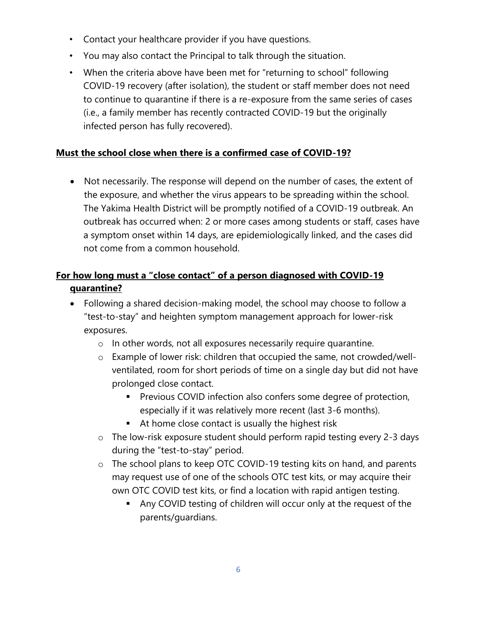- Contact your healthcare provider if you have questions.
- You may also contact the Principal to talk through the situation.
- When the criteria above have been met for "returning to school" following COVID-19 recovery (after isolation), the student or staff member does not need to continue to quarantine if there is a re-exposure from the same series of cases (i.e., a family member has recently contracted COVID-19 but the originally infected person has fully recovered).

#### **Must the school close when there is a confirmed case of COVID-19?**

• Not necessarily. The response will depend on the number of cases, the extent of the exposure, and whether the virus appears to be spreading within the school. The Yakima Health District will be promptly notified of a COVID-19 outbreak. An outbreak has occurred when: 2 or more cases among students or staff, cases have a symptom onset within 14 days, are epidemiologically linked, and the cases did not come from a common household.

## **For how long must a "close contact" of a person diagnosed with COVID-19 quarantine?**

- Following a shared decision-making model, the school may choose to follow a "test-to-stay" and heighten symptom management approach for lower-risk exposures.
	- o In other words, not all exposures necessarily require quarantine.
	- o Example of lower risk: children that occupied the same, not crowded/wellventilated, room for short periods of time on a single day but did not have prolonged close contact.
		- Previous COVID infection also confers some degree of protection, especially if it was relatively more recent (last 3-6 months).
		- At home close contact is usually the highest risk
	- o The low-risk exposure student should perform rapid testing every 2-3 days during the "test-to-stay" period.
	- o The school plans to keep OTC COVID-19 testing kits on hand, and parents may request use of one of the schools OTC test kits, or may acquire their own OTC COVID test kits, or find a location with rapid antigen testing.
		- Any COVID testing of children will occur only at the request of the parents/guardians.